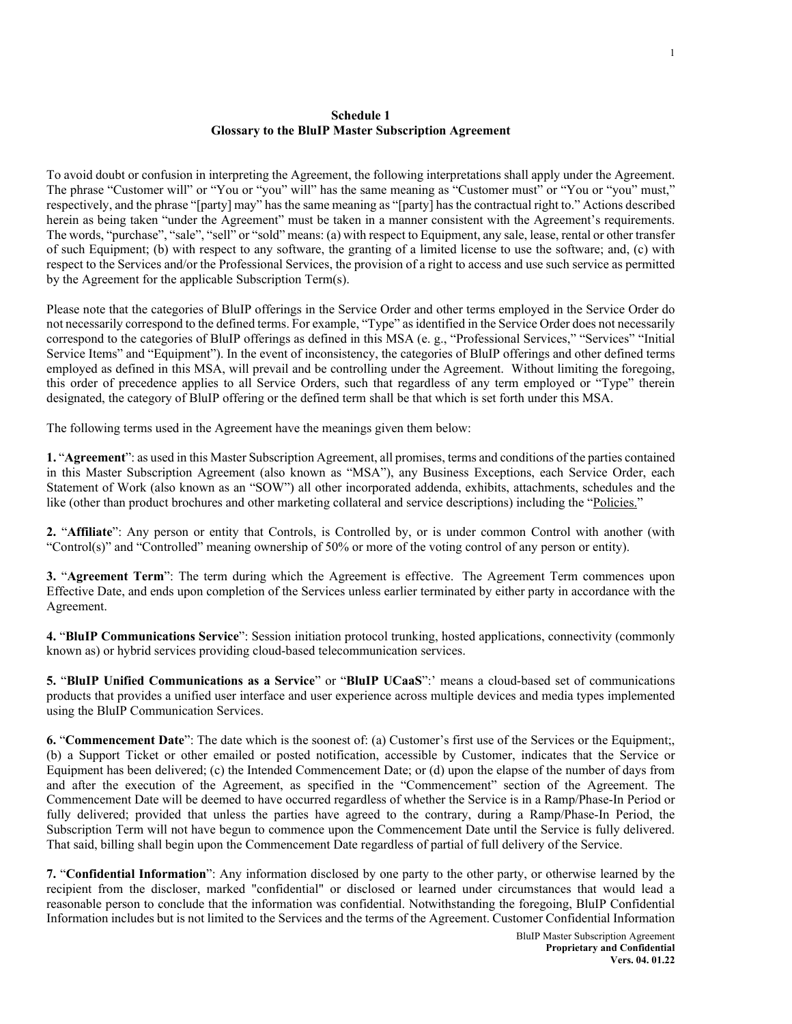## **Schedule 1 Glossary to the BluIP Master Subscription Agreement**

To avoid doubt or confusion in interpreting the Agreement, the following interpretations shall apply under the Agreement. The phrase "Customer will" or "You or "you" will" has the same meaning as "Customer must" or "You or "you" must," respectively, and the phrase "[party] may" has the same meaning as "[party] has the contractual right to." Actions described herein as being taken "under the Agreement" must be taken in a manner consistent with the Agreement's requirements. The words, "purchase", "sale", "sell" or "sold" means: (a) with respect to Equipment, any sale, lease, rental or other transfer of such Equipment; (b) with respect to any software, the granting of a limited license to use the software; and, (c) with respect to the Services and/or the Professional Services, the provision of a right to access and use such service as permitted by the Agreement for the applicable Subscription Term(s).

Please note that the categories of BluIP offerings in the Service Order and other terms employed in the Service Order do not necessarily correspond to the defined terms. For example, "Type" as identified in the Service Order does not necessarily correspond to the categories of BluIP offerings as defined in this MSA (e. g., "Professional Services," "Services" "Initial Service Items" and "Equipment"). In the event of inconsistency, the categories of BluIP offerings and other defined terms employed as defined in this MSA, will prevail and be controlling under the Agreement. Without limiting the foregoing, this order of precedence applies to all Service Orders, such that regardless of any term employed or "Type" therein designated, the category of BluIP offering or the defined term shall be that which is set forth under this MSA.

The following terms used in the Agreement have the meanings given them below:

**1.** "**Agreement**": as used in this Master Subscription Agreement, all promises, terms and conditions of the parties contained in this Master Subscription Agreement (also known as "MSA"), any Business Exceptions, each Service Order, each Statement of Work (also known as an "SOW") all other incorporated addenda, exhibits, attachments, schedules and the like (other than product brochures and other marketing collateral and service descriptions) including the ["Policies."](http://www.bluip.com/legal)

**2.** "**Affiliate**": Any person or entity that Controls, is Controlled by, or is under common Control with another (with "Control(s)" and "Controlled" meaning ownership of 50% or more of the voting control of any person or entity).

**3.** "**Agreement Term**": The term during which the Agreement is effective. The Agreement Term commences upon Effective Date, and ends upon completion of the Services unless earlier terminated by either party in accordance with the Agreement.

**4.** "**BluIP Communications Service**": Session initiation protocol trunking, hosted applications, connectivity (commonly known as) or hybrid services providing cloud-based telecommunication services.

**5.** "**BluIP Unified Communications as a Service**" or "**BluIP UCaaS**":' means a cloud-based set of communications products that provides a unified user interface and user experience across multiple devices and media types implemented using the BluIP Communication Services.

**6.** "**Commencement Date**": The date which is the soonest of: (a) Customer's first use of the Services or the Equipment;, (b) a Support Ticket or other emailed or posted notification, accessible by Customer, indicates that the Service or Equipment has been delivered; (c) the Intended Commencement Date; or (d) upon the elapse of the number of days from and after the execution of the Agreement, as specified in the "Commencement" section of the Agreement. The Commencement Date will be deemed to have occurred regardless of whether the Service is in a Ramp/Phase-In Period or fully delivered; provided that unless the parties have agreed to the contrary, during a Ramp/Phase-In Period, the Subscription Term will not have begun to commence upon the Commencement Date until the Service is fully delivered. That said, billing shall begin upon the Commencement Date regardless of partial of full delivery of the Service.

**7.** "**Confidential Information**": Any information disclosed by one party to the other party, or otherwise learned by the recipient from the discloser, marked "confidential" or disclosed or learned under circumstances that would lead a reasonable person to conclude that the information was confidential. Notwithstanding the foregoing, BluIP Confidential Information includes but is not limited to the Services and the terms of the Agreement. Customer Confidential Information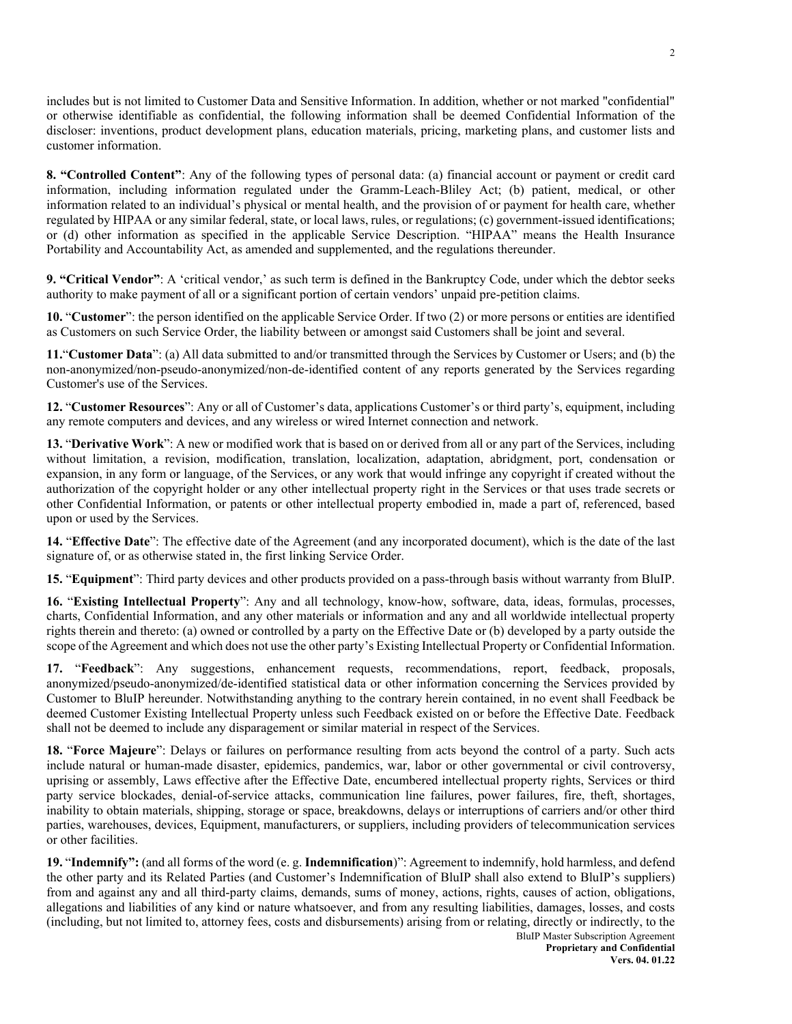includes but is not limited to Customer Data and Sensitive Information. In addition, whether or not marked "confidential" or otherwise identifiable as confidential, the following information shall be deemed Confidential Information of the discloser: inventions, product development plans, education materials, pricing, marketing plans, and customer lists and customer information.

**8. "Controlled Content"**: Any of the following types of personal data: (a) financial account or payment or credit card information, including information regulated under the Gramm-Leach-Bliley Act; (b) patient, medical, or other information related to an individual's physical or mental health, and the provision of or payment for health care, whether regulated by HIPAA or any similar federal, state, or local laws, rules, or regulations; (c) government-issued identifications; or (d) other information as specified in the applicable Service Description. "HIPAA" means the Health Insurance Portability and Accountability Act, as amended and supplemented, and the regulations thereunder.

**9. "Critical Vendor"**: A 'critical vendor,' as such term is defined in the Bankruptcy Code, under which the debtor seeks authority to make payment of all or a significant portion of certain vendors' unpaid pre-petition claims.

**10.** "**Customer**": the person identified on the applicable Service Order. If two (2) or more persons or entities are identified as Customers on such Service Order, the liability between or amongst said Customers shall be joint and several.

**11.**"**Customer Data**": (a) All data submitted to and/or transmitted through the Services by Customer or Users; and (b) the non-anonymized/non-pseudo-anonymized/non-de-identified content of any reports generated by the Services regarding Customer's use of the Services.

**12.** "**Customer Resources**": Any or all of Customer's data, applications Customer's or third party's, equipment, including any remote computers and devices, and any wireless or wired Internet connection and network.

**13.** "**Derivative Work**": A new or modified work that is based on or derived from all or any part of the Services, including without limitation, a revision, modification, translation, localization, adaptation, abridgment, port, condensation or expansion, in any form or language, of the Services, or any work that would infringe any copyright if created without the authorization of the copyright holder or any other intellectual property right in the Services or that uses trade secrets or other Confidential Information, or patents or other intellectual property embodied in, made a part of, referenced, based upon or used by the Services.

**14.** "**Effective Date**": The effective date of the Agreement (and any incorporated document), which is the date of the last signature of, or as otherwise stated in, the first linking Service Order.

**15.** "**Equipment**": Third party devices and other products provided on a pass-through basis without warranty from BluIP.

**16.** "**Existing Intellectual Property**": Any and all technology, know-how, software, data, ideas, formulas, processes, charts, Confidential Information, and any other materials or information and any and all worldwide intellectual property rights therein and thereto: (a) owned or controlled by a party on the Effective Date or (b) developed by a party outside the scope of the Agreement and which does not use the other party's Existing Intellectual Property or Confidential Information.

**17.** "**Feedback**": Any suggestions, enhancement requests, recommendations, report, feedback, proposals, anonymized/pseudo-anonymized/de-identified statistical data or other information concerning the Services provided by Customer to BluIP hereunder. Notwithstanding anything to the contrary herein contained, in no event shall Feedback be deemed Customer Existing Intellectual Property unless such Feedback existed on or before the Effective Date. Feedback shall not be deemed to include any disparagement or similar material in respect of the Services.

**18.** "**Force Majeure**": Delays or failures on performance resulting from acts beyond the control of a party. Such acts include natural or human-made disaster, epidemics, pandemics, war, labor or other governmental or civil controversy, uprising or assembly, Laws effective after the Effective Date, encumbered intellectual property rights, Services or third party service blockades, denial-of-service attacks, communication line failures, power failures, fire, theft, shortages, inability to obtain materials, shipping, storage or space, breakdowns, delays or interruptions of carriers and/or other third parties, warehouses, devices, Equipment, manufacturers, or suppliers, including providers of telecommunication services or other facilities.

**19.** "**Indemnify":** (and all forms of the word (e. g. **Indemnification**)": Agreement to indemnify, hold harmless, and defend the other party and its Related Parties (and Customer's Indemnification of BluIP shall also extend to BluIP's suppliers) from and against any and all third-party claims, demands, sums of money, actions, rights, causes of action, obligations, allegations and liabilities of any kind or nature whatsoever, and from any resulting liabilities, damages, losses, and costs (including, but not limited to, attorney fees, costs and disbursements) arising from or relating, directly or indirectly, to the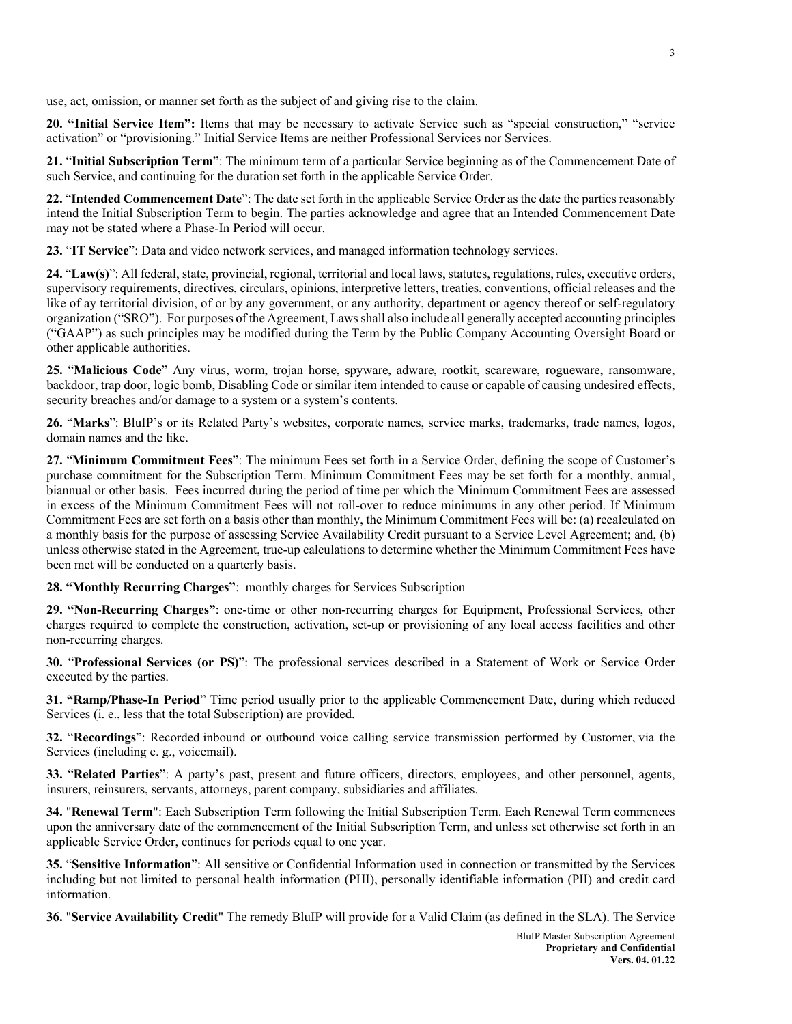use, act, omission, or manner set forth as the subject of and giving rise to the claim.

**20. "Initial Service Item":** Items that may be necessary to activate Service such as "special construction," "service activation" or "provisioning." Initial Service Items are neither Professional Services nor Services.

**21.** "**Initial Subscription Term**": The minimum term of a particular Service beginning as of the Commencement Date of such Service, and continuing for the duration set forth in the applicable Service Order.

**22.** "**Intended Commencement Date**": The date set forth in the applicable Service Order as the date the parties reasonably intend the Initial Subscription Term to begin. The parties acknowledge and agree that an Intended Commencement Date may not be stated where a Phase-In Period will occur.

**23.** "**IT Service**": Data and video network services, and managed information technology services.

**24.** "**Law(s)**": All federal, state, provincial, regional, territorial and local laws, statutes, regulations, rules, executive orders, supervisory requirements, directives, circulars, opinions, interpretive letters, treaties, conventions, official releases and the like of ay territorial division, of or by any government, or any authority, department or agency thereof or self-regulatory organization ("SRO"). For purposes of the Agreement, Laws shall also include all generally accepted accounting principles ("GAAP") as such principles may be modified during the Term by the Public Company Accounting Oversight Board or other applicable authorities.

**25.** "**Malicious Code**" Any virus, worm, trojan horse, spyware, adware, rootkit, scareware, rogueware, ransomware, backdoor, trap door, logic bomb, Disabling Code or similar item intended to cause or capable of causing undesired effects, security breaches and/or damage to a system or a system's contents.

**26.** "**Marks**": BluIP's or its Related Party's websites, corporate names, service marks, trademarks, trade names, logos, domain names and the like.

**27.** "**Minimum Commitment Fees**": The minimum Fees set forth in a Service Order, defining the scope of Customer's purchase commitment for the Subscription Term. Minimum Commitment Fees may be set forth for a monthly, annual, biannual or other basis. Fees incurred during the period of time per which the Minimum Commitment Fees are assessed in excess of the Minimum Commitment Fees will not roll-over to reduce minimums in any other period. If Minimum Commitment Fees are set forth on a basis other than monthly, the Minimum Commitment Fees will be: (a) recalculated on a monthly basis for the purpose of assessing Service Availability Credit pursuant to a Service Level Agreement; and, (b) unless otherwise stated in the Agreement, true-up calculations to determine whether the Minimum Commitment Fees have been met will be conducted on a quarterly basis.

**28. "Monthly Recurring Charges"**: monthly charges for Services Subscription

**29. "Non-Recurring Charges"**: one-time or other non-recurring charges for Equipment, Professional Services, other charges required to complete the construction, activation, set-up or provisioning of any local access facilities and other non-recurring charges.

**30.** "**Professional Services (or PS)**": The professional services described in a Statement of Work or Service Order executed by the parties.

**31. "Ramp/Phase-In Period**" Time period usually prior to the applicable Commencement Date, during which reduced Services (i. e., less that the total Subscription) are provided.

**32.** "**Recordings**": Recorded inbound or outbound voice calling service transmission performed by Customer, via the Services (including e. g., voicemail).

**33.** "**Related Parties**": A party's past, present and future officers, directors, employees, and other personnel, agents, insurers, reinsurers, servants, attorneys, parent company, subsidiaries and affiliates.

**34.** "**Renewal Term**": Each Subscription Term following the Initial Subscription Term. Each Renewal Term commences upon the anniversary date of the commencement of the Initial Subscription Term, and unless set otherwise set forth in an applicable Service Order, continues for periods equal to one year.

**35.** "**Sensitive Information**": All sensitive or Confidential Information used in connection or transmitted by the Services including but not limited to personal health information (PHI), personally identifiable information (PII) and credit card information.

**36.** "**Service Availability Credit**" The remedy BluIP will provide for a Valid Claim (as defined in the SLA). The Service